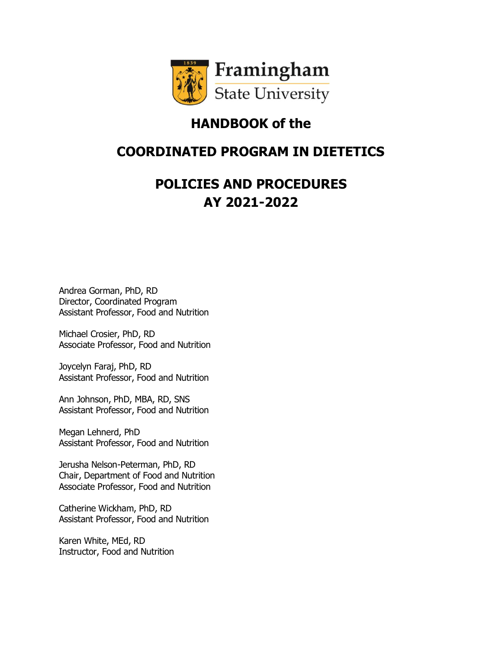

# **HANDBOOK of the**

# **COORDINATED PROGRAM IN DIETETICS**

# **POLICIES AND PROCEDURES AY 2021-2022**

Andrea Gorman, PhD, RD Director, Coordinated Program Assistant Professor, Food and Nutrition

Michael Crosier, PhD, RD Associate Professor, Food and Nutrition

Joycelyn Faraj, PhD, RD Assistant Professor, Food and Nutrition

Ann Johnson, PhD, MBA, RD, SNS Assistant Professor, Food and Nutrition

Megan Lehnerd, PhD Assistant Professor, Food and Nutrition

Jerusha Nelson-Peterman, PhD, RD Chair, Department of Food and Nutrition Associate Professor, Food and Nutrition

Catherine Wickham, PhD, RD Assistant Professor, Food and Nutrition

Karen White, MEd, RD Instructor, Food and Nutrition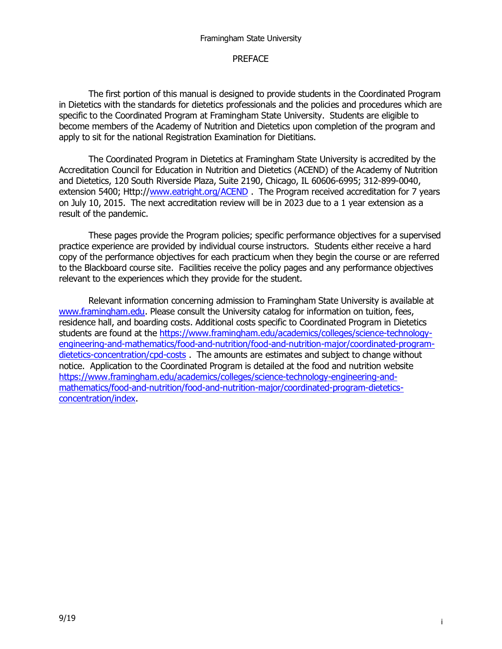#### PREFACE

The first portion of this manual is designed to provide students in the Coordinated Program in Dietetics with the standards for dietetics professionals and the policies and procedures which are specific to the Coordinated Program at Framingham State University. Students are eligible to become members of the Academy of Nutrition and Dietetics upon completion of the program and apply to sit for the national Registration Examination for Dietitians.

The Coordinated Program in Dietetics at Framingham State University is accredited by the Accreditation Council for Education in Nutrition and Dietetics (ACEND) of the Academy of Nutrition and Dietetics, 120 South Riverside Plaza, Suite 2190, Chicago, IL 60606-6995; 312-899-0040, extension 5400; Http:/[/www.eatright.org/ACEND](http://www.eatright.org/ACEND) . The Program received accreditation for 7 years on July 10, 2015. The next accreditation review will be in 2023 due to a 1 year extension as a result of the pandemic.

These pages provide the Program policies; specific performance objectives for a supervised practice experience are provided by individual course instructors. Students either receive a hard copy of the performance objectives for each practicum when they begin the course or are referred to the Blackboard course site. Facilities receive the policy pages and any performance objectives relevant to the experiences which they provide for the student.

Relevant information concerning admission to Framingham State University is available at [www.framingham.edu.](http://www.framingham.edu/) Please consult the University catalog for information on tuition, fees, residence hall, and boarding costs. Additional costs specific to Coordinated Program in Dietetics students are found at the [https://www.framingham.edu/academics/colleges/science-technology](https://www.framingham.edu/academics/colleges/science-technology-engineering-and-mathematics/food-and-nutrition/food-and-nutrition-major/coordinated-program-dietetics-concentration/cpd-costs)[engineering-and-mathematics/food-and-nutrition/food-and-nutrition-major/coordinated-program](https://www.framingham.edu/academics/colleges/science-technology-engineering-and-mathematics/food-and-nutrition/food-and-nutrition-major/coordinated-program-dietetics-concentration/cpd-costs)[dietetics-concentration/cpd-costs](https://www.framingham.edu/academics/colleges/science-technology-engineering-and-mathematics/food-and-nutrition/food-and-nutrition-major/coordinated-program-dietetics-concentration/cpd-costs) . The amounts are estimates and subject to change without notice. Application to the Coordinated Program is detailed at the food and nutrition website [https://www.framingham.edu/academics/colleges/science-technology-engineering-and](https://www.framingham.edu/academics/colleges/science-technology-engineering-and-mathematics/food-and-nutrition/food-and-nutrition-major/coordinated-program-dietetics-concentration/index)[mathematics/food-and-nutrition/food-and-nutrition-major/coordinated-program-dietetics](https://www.framingham.edu/academics/colleges/science-technology-engineering-and-mathematics/food-and-nutrition/food-and-nutrition-major/coordinated-program-dietetics-concentration/index)[concentration/index.](https://www.framingham.edu/academics/colleges/science-technology-engineering-and-mathematics/food-and-nutrition/food-and-nutrition-major/coordinated-program-dietetics-concentration/index)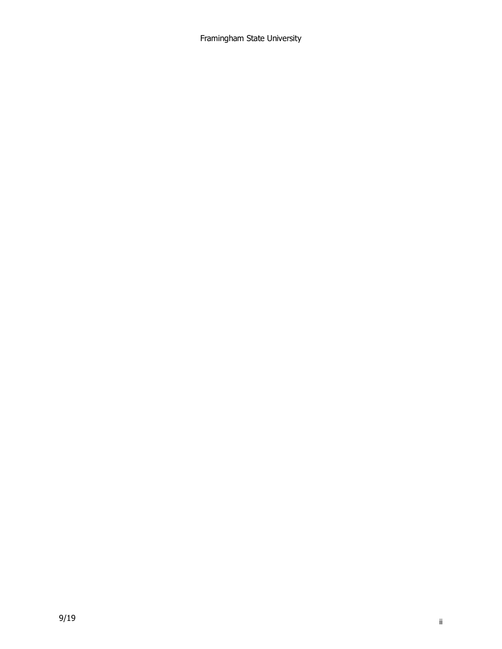Framingham State University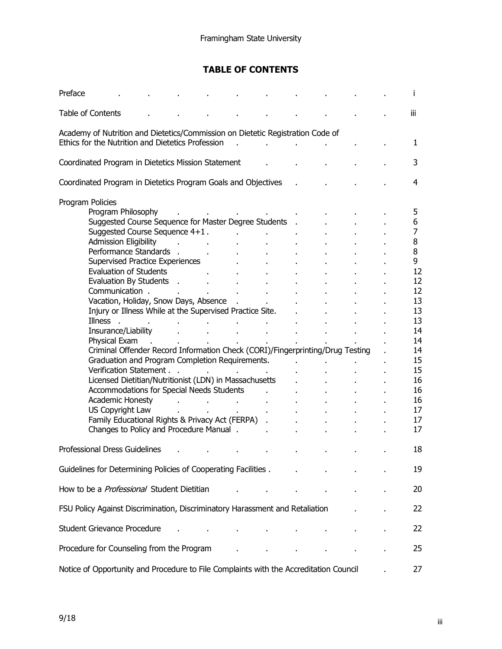# **TABLE OF CONTENTS**

| Preface                                                                                                         |  |                      |                           |                                |                             |              |    |  |  | L              |
|-----------------------------------------------------------------------------------------------------------------|--|----------------------|---------------------------|--------------------------------|-----------------------------|--------------|----|--|--|----------------|
| Table of Contents                                                                                               |  |                      |                           |                                |                             |              |    |  |  | iii.           |
| Academy of Nutrition and Dietetics/Commission on Dietetic Registration Code of                                  |  |                      |                           |                                |                             |              |    |  |  |                |
| Ethics for the Nutrition and Dietetics Profession                                                               |  |                      |                           |                                |                             |              |    |  |  | 1              |
| Coordinated Program in Dietetics Mission Statement                                                              |  |                      |                           |                                |                             |              |    |  |  | 3              |
| Coordinated Program in Dietetics Program Goals and Objectives                                                   |  |                      |                           |                                |                             |              |    |  |  | 4              |
| Program Policies                                                                                                |  |                      |                           |                                |                             |              |    |  |  |                |
| Program Philosophy                                                                                              |  |                      |                           |                                |                             |              |    |  |  | 5              |
| Suggested Course Sequence for Master Degree Students .                                                          |  |                      |                           |                                |                             |              |    |  |  | 6              |
| Suggested Course Sequence 4+1.                                                                                  |  |                      |                           | and the company of the company |                             |              |    |  |  | $\overline{7}$ |
| Admission Eligibility                                                                                           |  | and the company of   |                           |                                |                             |              |    |  |  | 8              |
| Performance Standards.                                                                                          |  |                      | <b>Contract Contract</b>  |                                |                             |              | à. |  |  | 8              |
| Supervised Practice Experiences                                                                                 |  |                      |                           |                                |                             | ¥.           | à. |  |  | 9              |
| Evaluation of Students                                                                                          |  |                      |                           |                                |                             | ä,           | ä, |  |  | 12             |
| Evaluation By Students . The results of the set of the set of the set of the set of the set of the set of the s |  |                      |                           |                                |                             | ä,           | ä, |  |  | 12             |
| Communication.                                                                                                  |  |                      |                           | $\mathbf{u}$ .                 | <b>Contract Contract</b>    |              | à. |  |  | 12             |
| Vacation, Holiday, Snow Days, Absence . The same of the set of the set of the Vacation, Holzanda, Ma            |  |                      |                           |                                |                             |              | à. |  |  | 13             |
| Injury or Illness While at the Supervised Practice Site.                                                        |  |                      |                           |                                |                             |              |    |  |  | 13             |
| Illness.                                                                                                        |  |                      | $\mathbf{r} = \mathbf{r}$ |                                |                             |              |    |  |  | 13             |
| Insurance/Liability                                                                                             |  |                      | $\mathbf{r}$              |                                | $\mathbf{r}$                | ¥,           |    |  |  | 14             |
| Physical Exam                                                                                                   |  | and the state of the |                           |                                |                             |              |    |  |  | 14             |
| Criminal Offender Record Information Check (CORI)/Fingerprinting/Drug Testing                                   |  |                      |                           |                                |                             |              |    |  |  | 14             |
| Graduation and Program Completion Requirements.                                                                 |  |                      |                           |                                |                             | $\mathbf{r}$ |    |  |  | 15             |
| Verification Statement                                                                                          |  |                      |                           | and the state of the state of  |                             |              |    |  |  | 15             |
| Licensed Dietitian/Nutritionist (LDN) in Massachusetts                                                          |  |                      |                           |                                |                             |              |    |  |  | 16             |
| Accommodations for Special Needs Students                                                                       |  |                      |                           |                                |                             |              |    |  |  | 16             |
|                                                                                                                 |  |                      |                           |                                | $\mathbf{r}$                |              |    |  |  | 16             |
| Academic Honesty                                                                                                |  |                      |                           | and the state of the state of  | $\mathbf{r}$                |              |    |  |  |                |
| US Copyright Law                                                                                                |  |                      | and the state of the      |                                |                             |              |    |  |  | 17             |
| Family Educational Rights & Privacy Act (FERPA).                                                                |  |                      |                           |                                |                             |              |    |  |  | 17             |
| Changes to Policy and Procedure Manual.                                                                         |  |                      |                           |                                |                             |              |    |  |  | 17             |
|                                                                                                                 |  |                      |                           |                                |                             |              |    |  |  |                |
| <b>Professional Dress Guidelines</b>                                                                            |  |                      |                           |                                |                             |              |    |  |  | 18             |
| Guidelines for Determining Policies of Cooperating Facilities.                                                  |  |                      |                           |                                |                             |              |    |  |  | 19             |
| How to be a Professional Student Dietitian                                                                      |  |                      |                           |                                |                             |              |    |  |  | 20             |
|                                                                                                                 |  |                      |                           |                                |                             |              |    |  |  | 22             |
| FSU Policy Against Discrimination, Discriminatory Harassment and Retaliation                                    |  |                      |                           |                                |                             |              |    |  |  |                |
| Student Grievance Procedure                                                                                     |  |                      |                           |                                | $\mathbf{r} = \mathbf{r}$ . |              |    |  |  | 22             |
| Procedure for Counseling from the Program                                                                       |  |                      |                           |                                |                             |              |    |  |  | 25             |
| Notice of Opportunity and Procedure to File Complaints with the Accreditation Council                           |  |                      |                           |                                |                             | 27           |    |  |  |                |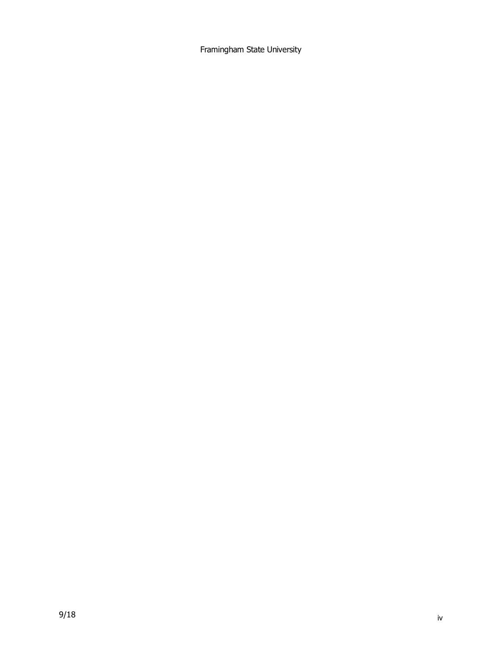Framingham State University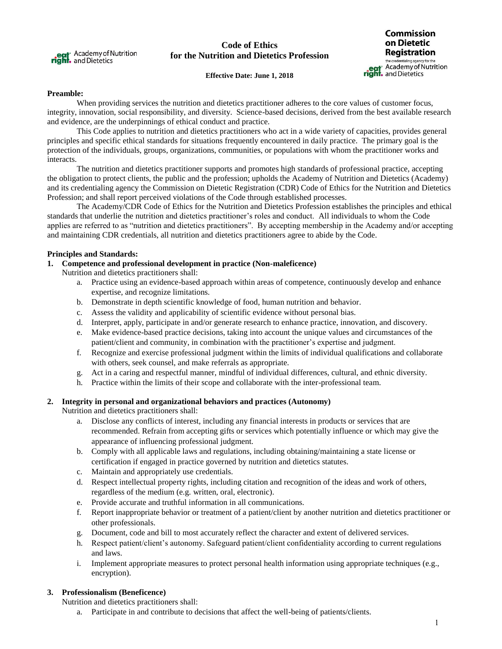

#### **Code of Ethics for the Nutrition and Dietetics Profession**

Commission on Dietetic **Registration** the credentialing agency for the<br>Academy of Nutrition eat<sup>\*</sup> Academy of N<br>**right.** and Dietetics

#### **Effective Date: June 1, 2018**

#### **Preamble:**

When providing services the nutrition and dietetics practitioner adheres to the core values of customer focus, integrity, innovation, social responsibility, and diversity. Science-based decisions, derived from the best available research and evidence, are the underpinnings of ethical conduct and practice.

This Code applies to nutrition and dietetics practitioners who act in a wide variety of capacities, provides general principles and specific ethical standards for situations frequently encountered in daily practice. The primary goal is the protection of the individuals, groups, organizations, communities, or populations with whom the practitioner works and interacts.

The nutrition and dietetics practitioner supports and promotes high standards of professional practice, accepting the obligation to protect clients, the public and the profession; upholds the Academy of Nutrition and Dietetics (Academy) and its credentialing agency the Commission on Dietetic Registration (CDR) Code of Ethics for the Nutrition and Dietetics Profession; and shall report perceived violations of the Code through established processes.

The Academy/CDR Code of Ethics for the Nutrition and Dietetics Profession establishes the principles and ethical standards that underlie the nutrition and dietetics practitioner's roles and conduct. All individuals to whom the Code applies are referred to as "nutrition and dietetics practitioners". By accepting membership in the Academy and/or accepting and maintaining CDR credentials, all nutrition and dietetics practitioners agree to abide by the Code.

#### **Principles and Standards:**

**1. Competence and professional development in practice (Non-maleficence)**

Nutrition and dietetics practitioners shall:

- a. Practice using an evidence-based approach within areas of competence, continuously develop and enhance expertise, and recognize limitations.
- b. Demonstrate in depth scientific knowledge of food, human nutrition and behavior.
- c. Assess the validity and applicability of scientific evidence without personal bias.
- d. Interpret, apply, participate in and/or generate research to enhance practice, innovation, and discovery.
- e. Make evidence-based practice decisions, taking into account the unique values and circumstances of the patient/client and community, in combination with the practitioner's expertise and judgment.
- f. Recognize and exercise professional judgment within the limits of individual qualifications and collaborate with others, seek counsel, and make referrals as appropriate.
- g. Act in a caring and respectful manner, mindful of individual differences, cultural, and ethnic diversity.
- h. Practice within the limits of their scope and collaborate with the inter-professional team.

#### **2. Integrity in personal and organizational behaviors and practices (Autonomy)**

Nutrition and dietetics practitioners shall:

- a. Disclose any conflicts of interest, including any financial interests in products or services that are recommended. Refrain from accepting gifts or services which potentially influence or which may give the appearance of influencing professional judgment.
- b. Comply with all applicable laws and regulations, including obtaining/maintaining a state license or certification if engaged in practice governed by nutrition and dietetics statutes.
- c. Maintain and appropriately use credentials.
- d. Respect intellectual property rights, including citation and recognition of the ideas and work of others, regardless of the medium (e.g. written, oral, electronic).
- e. Provide accurate and truthful information in all communications.
- f. Report inappropriate behavior or treatment of a patient/client by another nutrition and dietetics practitioner or other professionals.
- g. Document, code and bill to most accurately reflect the character and extent of delivered services.
- h. Respect patient/client's autonomy. Safeguard patient/client confidentiality according to current regulations and laws.
- i. Implement appropriate measures to protect personal health information using appropriate techniques (e.g., encryption).

#### **3. Professionalism (Beneficence)**

Nutrition and dietetics practitioners shall:

a. Participate in and contribute to decisions that affect the well-being of patients/clients.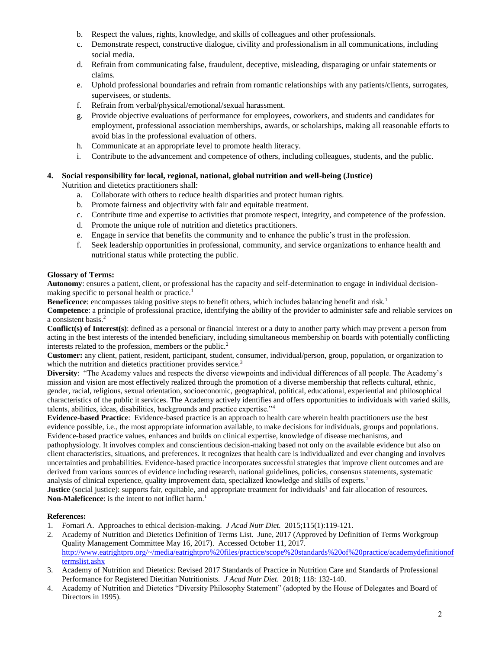- b. Respect the values, rights, knowledge, and skills of colleagues and other professionals.
- c. Demonstrate respect, constructive dialogue, civility and professionalism in all communications, including social media.
- d. Refrain from communicating false, fraudulent, deceptive, misleading, disparaging or unfair statements or claims.
- e. Uphold professional boundaries and refrain from romantic relationships with any patients/clients, surrogates, supervisees, or students.
- f. Refrain from verbal/physical/emotional/sexual harassment.
- g. Provide objective evaluations of performance for employees, coworkers, and students and candidates for employment, professional association memberships, awards, or scholarships, making all reasonable efforts to avoid bias in the professional evaluation of others.
- h. Communicate at an appropriate level to promote health literacy.
- i. Contribute to the advancement and competence of others, including colleagues, students, and the public.

#### **4. Social responsibility for local, regional, national, global nutrition and well-being (Justice)**

Nutrition and dietetics practitioners shall:

- a. Collaborate with others to reduce health disparities and protect human rights.
- b. Promote fairness and objectivity with fair and equitable treatment.
- c. Contribute time and expertise to activities that promote respect, integrity, and competence of the profession.
- d. Promote the unique role of nutrition and dietetics practitioners.
- e. Engage in service that benefits the community and to enhance the public's trust in the profession.
- f. Seek leadership opportunities in professional, community, and service organizations to enhance health and nutritional status while protecting the public.

#### **Glossary of Terms:**

**Autonomy**: ensures a patient, client, or professional has the capacity and self-determination to engage in individual decisionmaking specific to personal health or practice.<sup>1</sup>

**Beneficence**: encompasses taking positive steps to benefit others, which includes balancing benefit and risk.<sup>1</sup>

**Competence**: a principle of professional practice, identifying the ability of the provider to administer safe and reliable services on a consistent basis.<sup>2</sup>

**Conflict(s) of Interest(s)**: defined as a personal or financial interest or a duty to another party which may prevent a person from acting in the best interests of the intended beneficiary, including simultaneous membership on boards with potentially conflicting interests related to the profession, members or the public.<sup>2</sup>

**Customer:** any client, patient, resident, participant, student, consumer, individual/person, group, population, or organization to which the nutrition and dietetics practitioner provides service.<sup>3</sup>

**Diversity**: "The Academy values and respects the diverse viewpoints and individual differences of all people. The Academy's mission and vision are most effectively realized through the promotion of a diverse membership that reflects cultural, ethnic, gender, racial, religious, sexual orientation, socioeconomic, geographical, political, educational, experiential and philosophical characteristics of the public it services. The Academy actively identifies and offers opportunities to individuals with varied skills, talents, abilities, ideas, disabilities, backgrounds and practice expertise."<sup>4</sup>

**Evidence-based Practice**: Evidence-based practice is an approach to health care wherein health practitioners use the best evidence possible, i.e., the most appropriate information available, to make decisions for individuals, groups and populations. Evidence-based practice values, enhances and builds on clinical expertise, knowledge of disease mechanisms, and

pathophysiology. It involves complex and conscientious decision-making based not only on the available evidence but also on client characteristics, situations, and preferences. It recognizes that health care is individualized and ever changing and involves uncertainties and probabilities. Evidence-based practice incorporates successful strategies that improve client outcomes and are derived from various sources of evidence including research, national guidelines, policies, consensus statements, systematic analysis of clinical experience, quality improvement data, specialized knowledge and skills of experts.<sup>2</sup>

**Justice** (social justice): supports fair, equitable, and appropriate treatment for individuals<sup>1</sup> and fair allocation of resources. **Non-Maleficence**: is the intent to not inflict harm.<sup>1</sup>

#### **References:**

- 1. Fornari A. Approaches to ethical decision-making. *J Acad Nutr Diet.* 2015;115(1):119-121.
- 2. Academy of Nutrition and Dietetics Definition of Terms List. June, 2017 (Approved by Definition of Terms Workgroup Quality Management Committee May 16, 2017). Accessed October 11, 2017. [http://www.eatrightpro.org/~/media/eatrightpro%20files/practice/scope%20standards%20of%20practice/academydefinitionof](http://www.eatrightpro.org/~/media/eatrightpro%20files/practice/scope%20standards%20of%20practice/academydefinitionoftermslist.ashx) [termslist.ashx](http://www.eatrightpro.org/~/media/eatrightpro%20files/practice/scope%20standards%20of%20practice/academydefinitionoftermslist.ashx)
- 3. Academy of Nutrition and Dietetics: Revised 2017 Standards of Practice in Nutrition Care and Standards of Professional Performance for Registered Dietitian Nutritionists. *J Acad Nutr Diet*. 2018; 118: 132-140.
- 4. Academy of Nutrition and Dietetics "Diversity Philosophy Statement" (adopted by the House of Delegates and Board of Directors in 1995).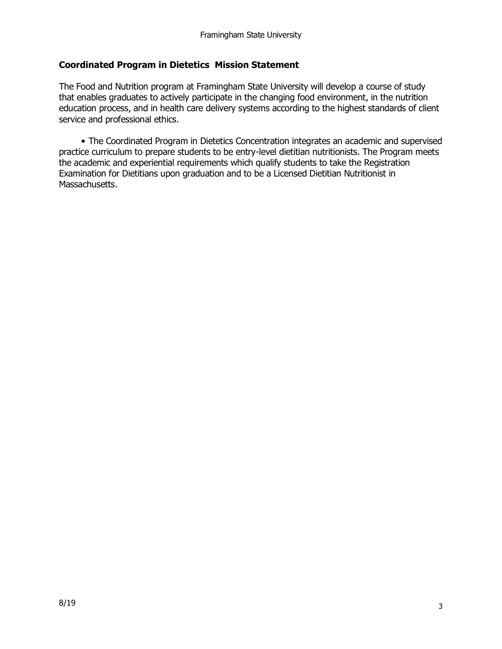#### **Coordinated Program in Dietetics Mission Statement**

The Food and Nutrition program at Framingham State University will develop a course of study that enables graduates to actively participate in the changing food environment, in the nutrition education process, and in health care delivery systems according to the highest standards of client service and professional ethics.

• The Coordinated Program in Dietetics Concentration integrates an academic and supervised practice curriculum to prepare students to be entry-level dietitian nutritionists. The Program meets the academic and experiential requirements which qualify students to take the Registration Examination for Dietitians upon graduation and to be a Licensed Dietitian Nutritionist in Massachusetts.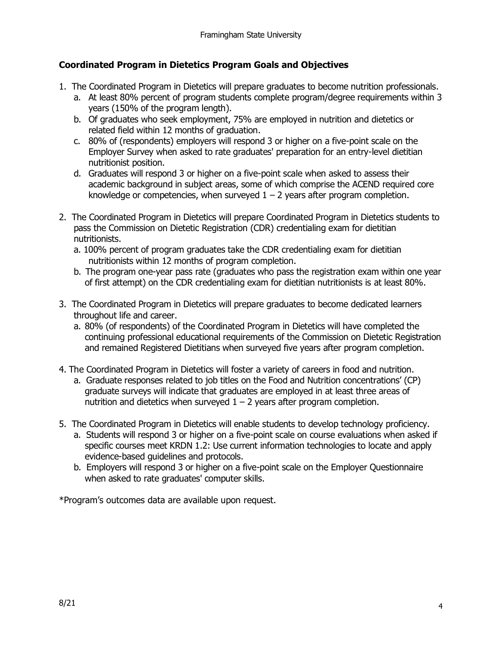# **Coordinated Program in Dietetics Program Goals and Objectives**

- 1. The Coordinated Program in Dietetics will prepare graduates to become nutrition professionals.
	- a. At least 80% percent of program students complete program/degree requirements within 3 years (150% of the program length).
	- b. Of graduates who seek employment, 75% are employed in nutrition and dietetics or related field within 12 months of graduation.
	- c. 80% of (respondents) employers will respond 3 or higher on a five-point scale on the Employer Survey when asked to rate graduates' preparation for an entry-level dietitian nutritionist position.
	- d. Graduates will respond 3 or higher on a five-point scale when asked to assess their academic background in subject areas, some of which comprise the ACEND required core knowledge or competencies, when surveyed  $1 - 2$  years after program completion.
- 2. The Coordinated Program in Dietetics will prepare Coordinated Program in Dietetics students to pass the Commission on Dietetic Registration (CDR) credentialing exam for dietitian nutritionists.
	- a. 100% percent of program graduates take the CDR credentialing exam for dietitian nutritionists within 12 months of program completion.
	- b. The program one-year pass rate (graduates who pass the registration exam within one year of first attempt) on the CDR credentialing exam for dietitian nutritionists is at least 80%.
- 3. The Coordinated Program in Dietetics will prepare graduates to become dedicated learners throughout life and career.
	- a. 80% (of respondents) of the Coordinated Program in Dietetics will have completed the continuing professional educational requirements of the Commission on Dietetic Registration and remained Registered Dietitians when surveyed five years after program completion.
- 4. The Coordinated Program in Dietetics will foster a variety of careers in food and nutrition.
	- a. Graduate responses related to job titles on the Food and Nutrition concentrations' (CP) graduate surveys will indicate that graduates are employed in at least three areas of nutrition and dietetics when surveyed  $1 - 2$  years after program completion.
- 5. The Coordinated Program in Dietetics will enable students to develop technology proficiency.
	- a. Students will respond 3 or higher on a five-point scale on course evaluations when asked if specific courses meet KRDN 1.2: Use current information technologies to locate and apply evidence-based guidelines and protocols.
	- b. Employers will respond 3 or higher on a five-point scale on the Employer Questionnaire when asked to rate graduates' computer skills.

\*Program's outcomes data are available upon request.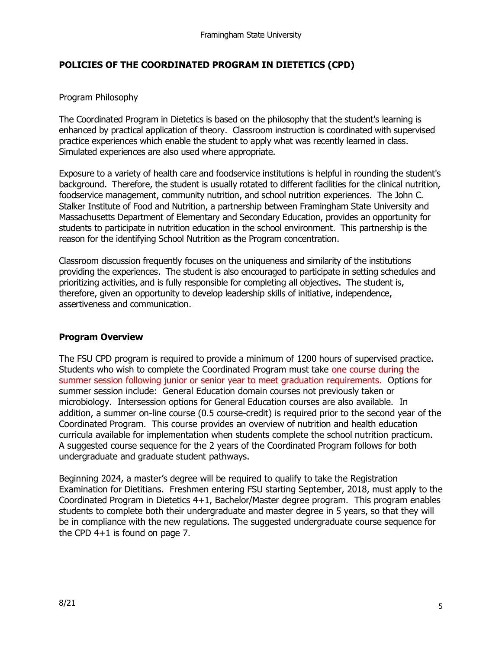# **POLICIES OF THE COORDINATED PROGRAM IN DIETETICS (CPD)**

### Program Philosophy

The Coordinated Program in Dietetics is based on the philosophy that the student's learning is enhanced by practical application of theory. Classroom instruction is coordinated with supervised practice experiences which enable the student to apply what was recently learned in class. Simulated experiences are also used where appropriate.

Exposure to a variety of health care and foodservice institutions is helpful in rounding the student's background. Therefore, the student is usually rotated to different facilities for the clinical nutrition, foodservice management, community nutrition, and school nutrition experiences. The John C. Stalker Institute of Food and Nutrition, a partnership between Framingham State University and Massachusetts Department of Elementary and Secondary Education, provides an opportunity for students to participate in nutrition education in the school environment.This partnership is the reason for the identifying School Nutrition as the Program concentration.

Classroom discussion frequently focuses on the uniqueness and similarity of the institutions providing the experiences. The student is also encouraged to participate in setting schedules and prioritizing activities, and is fully responsible for completing all objectives. The student is, therefore, given an opportunity to develop leadership skills of initiative, independence, assertiveness and communication.

#### **Program Overview**

The FSU CPD program is required to provide a minimum of 1200 hours of supervised practice. Students who wish to complete the Coordinated Program must take one course during the summer session following junior or senior year to meet graduation requirements. Options for summer session include: General Education domain courses not previously taken or microbiology. Intersession options for General Education courses are also available. In addition, a summer on-line course (0.5 course-credit) is required prior to the second year of the Coordinated Program. This course provides an overview of nutrition and health education curricula available for implementation when students complete the school nutrition practicum. A suggested course sequence for the 2 years of the Coordinated Program follows for both undergraduate and graduate student pathways.

Beginning 2024, a master's degree will be required to qualify to take the Registration Examination for Dietitians. Freshmen entering FSU starting September, 2018, must apply to the Coordinated Program in Dietetics 4+1, Bachelor/Master degree program. This program enables students to complete both their undergraduate and master degree in 5 years, so that they will be in compliance with the new regulations. The suggested undergraduate course sequence for the CPD 4+1 is found on page 7.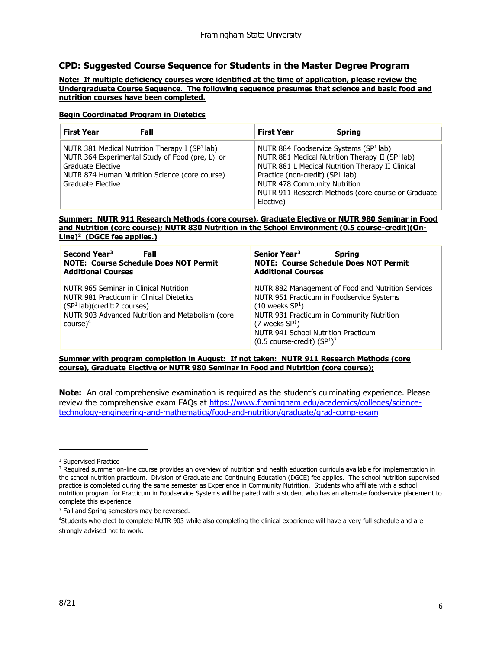#### **CPD: Suggested Course Sequence for Students in the Master Degree Program**

#### **Note: If multiple deficiency courses were identified at the time of application, please review the Undergraduate Course Sequence. The following sequence presumes that science and basic food and nutrition courses have been completed.**

#### **Begin Coordinated Program in Dietetics**

| <b>First Year</b>                                                                                                                                                                             | <b>First Year</b>                                                                                                                                                                                                                                                                          |
|-----------------------------------------------------------------------------------------------------------------------------------------------------------------------------------------------|--------------------------------------------------------------------------------------------------------------------------------------------------------------------------------------------------------------------------------------------------------------------------------------------|
| Fall                                                                                                                                                                                          | <b>Spring</b>                                                                                                                                                                                                                                                                              |
| NUTR 381 Medical Nutrition Therapy I (SP1 lab)<br>NUTR 364 Experimental Study of Food (pre, L) or<br>Graduate Elective<br>NUTR 874 Human Nutrition Science (core course)<br>Graduate Elective | NUTR 884 Foodservice Systems (SP1 lab)<br>NUTR 881 Medical Nutrition Therapy II (SP1 lab)<br>NUTR 881 L Medical Nutrition Therapy II Clinical<br>Practice (non-credit) (SP1 lab)<br><b>NUTR 478 Community Nutrition</b><br>NUTR 911 Research Methods (core course or Graduate<br>Elective) |

#### **Summer: NUTR 911 Research Methods (core course), Graduate Elective or NUTR 980 Seminar in Food and Nutrition (core course); NUTR 830 Nutrition in the School Environment (0.5 course-credit)(On-Line)<sup>2</sup> (DGCE fee applies.)**

| Second Year <sup>3</sup>                                                                                                                                                                          | Senior Year <sup>3</sup>                                                                                                                                                                                                                                                                                              |
|---------------------------------------------------------------------------------------------------------------------------------------------------------------------------------------------------|-----------------------------------------------------------------------------------------------------------------------------------------------------------------------------------------------------------------------------------------------------------------------------------------------------------------------|
| Fall                                                                                                                                                                                              | Spring                                                                                                                                                                                                                                                                                                                |
| <b>NOTE: Course Schedule Does NOT Permit</b>                                                                                                                                                      | <b>NOTE: Course Schedule Does NOT Permit</b>                                                                                                                                                                                                                                                                          |
| <b>Additional Courses</b>                                                                                                                                                                         | <b>Additional Courses</b>                                                                                                                                                                                                                                                                                             |
| NUTR 965 Seminar in Clinical Nutrition<br>NUTR 981 Practicum in Clinical Dietetics<br>$(SP1 lab)(credit:2 courses)$<br>NUTR 903 Advanced Nutrition and Metabolism (core<br>$course)$ <sup>4</sup> | NUTR 882 Management of Food and Nutrition Services<br>NUTR 951 Practicum in Foodservice Systems<br>$(10$ weeks SP <sup>1</sup> )<br>NUTR 931 Practicum in Community Nutrition<br>$(7$ weeks SP <sup>1</sup> )<br>NUTR 941 School Nutrition Practicum<br>$(0.5 \text{ course-credit})$ (SP <sup>1</sup> ) <sup>2</sup> |

#### **Summer with program completion in August: If not taken: NUTR 911 Research Methods (core course), Graduate Elective or NUTR 980 Seminar in Food and Nutrition (core course);**

**Note:** An oral comprehensive examination is required as the student's culminating experience. Please review the comprehensive exam FAQs at [https://www.framingham.edu/academics/colleges/science](https://www.framingham.edu/academics/colleges/science-technology-engineering-and-mathematics/food-and-nutrition/graduate/grad-comp-exam)[technology-engineering-and-mathematics/food-and-nutrition/graduate/grad-comp-exam](https://www.framingham.edu/academics/colleges/science-technology-engineering-and-mathematics/food-and-nutrition/graduate/grad-comp-exam)

<sup>&</sup>lt;sup>1</sup> Supervised Practice

<sup>&</sup>lt;sup>2</sup> Required summer on-line course provides an overview of nutrition and health education curricula available for implementation in the school nutrition practicum. Division of Graduate and Continuing Education (DGCE) fee applies. The school nutrition supervised practice is completed during the same semester as Experience in Community Nutrition. Students who affiliate with a school nutrition program for Practicum in Foodservice Systems will be paired with a student who has an alternate foodservice placement to complete this experience.

<sup>&</sup>lt;sup>3</sup> Fall and Spring semesters may be reversed.

<sup>4</sup>Students who elect to complete NUTR 903 while also completing the clinical experience will have a very full schedule and are strongly advised not to work.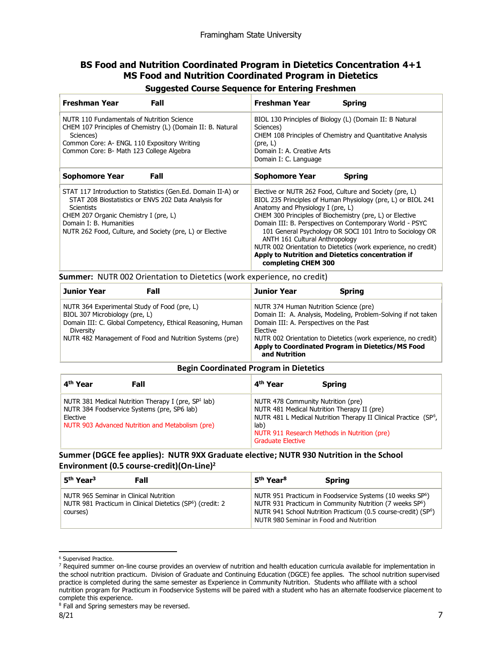#### **BS Food and Nutrition Coordinated Program in Dietetics Concentration 4+1 MS Food and Nutrition Coordinated Program in Dietetics**

| Freshman Year                                                                                                                                                                                                                                                             | Freshman Year                                                                                                                                                                                                                                                                                                                                                                                                                                                                                                                    |
|---------------------------------------------------------------------------------------------------------------------------------------------------------------------------------------------------------------------------------------------------------------------------|----------------------------------------------------------------------------------------------------------------------------------------------------------------------------------------------------------------------------------------------------------------------------------------------------------------------------------------------------------------------------------------------------------------------------------------------------------------------------------------------------------------------------------|
| Fall                                                                                                                                                                                                                                                                      | <b>Spring</b>                                                                                                                                                                                                                                                                                                                                                                                                                                                                                                                    |
| NUTR 110 Fundamentals of Nutrition Science<br>CHEM 107 Principles of Chemistry (L) (Domain II: B. Natural<br>Sciences)<br>Common Core: A- ENGL 110 Expository Writing<br>Common Core: B- Math 123 College Algebra                                                         | BIOL 130 Principles of Biology (L) (Domain II: B Natural<br>Sciences)<br>CHEM 108 Principles of Chemistry and Quantitative Analysis<br>$(\text{pre}, \mathsf{L})$<br>Domain I: A. Creative Arts<br>Domain I: C. Language                                                                                                                                                                                                                                                                                                         |
| Fall                                                                                                                                                                                                                                                                      | Sophomore Year                                                                                                                                                                                                                                                                                                                                                                                                                                                                                                                   |
| Sophomore Year                                                                                                                                                                                                                                                            | <b>Spring</b>                                                                                                                                                                                                                                                                                                                                                                                                                                                                                                                    |
| STAT 117 Introduction to Statistics (Gen.Ed. Domain II-A) or<br>STAT 208 Biostatistics or ENVS 202 Data Analysis for<br><b>Scientists</b><br>CHEM 207 Organic Chemistry I (pre, L)<br>Domain I: B. Humanities<br>NUTR 262 Food, Culture, and Society (pre, L) or Elective | Elective or NUTR 262 Food, Culture and Society (pre, L)<br>BIOL 235 Principles of Human Physiology (pre, L) or BIOL 241<br>Anatomy and Physiology I (pre, L)<br>CHEM 300 Principles of Biochemistry (pre, L) or Elective<br>Domain III: B. Perspectives on Contemporary World - PSYC<br>101 General Psychology OR SOCI 101 Intro to Sociology OR<br>ANTH 161 Cultural Anthropology<br>NUTR 002 Orientation to Dietetics (work experience, no credit)<br>Apply to Nutrition and Dietetics concentration if<br>completing CHEM 300 |

#### **Suggested Course Sequence for Entering Freshmen**

#### **Summer:** NUTR 002 Orientation to Dietetics (work experience, no credit)

| <b>Junior Year</b>                                                                                                                                                                                                          | <b>Junior Year</b>                                                                                                                                                                                                                                                                                      |
|-----------------------------------------------------------------------------------------------------------------------------------------------------------------------------------------------------------------------------|---------------------------------------------------------------------------------------------------------------------------------------------------------------------------------------------------------------------------------------------------------------------------------------------------------|
| Fall                                                                                                                                                                                                                        | <b>Spring</b>                                                                                                                                                                                                                                                                                           |
| NUTR 364 Experimental Study of Food (pre, L)<br>BIOL 307 Microbiology (pre, L)<br>Domain III: C. Global Competency, Ethical Reasoning, Human<br><b>Diversity</b><br>NUTR 482 Management of Food and Nutrition Systems (pre) | NUTR 374 Human Nutrition Science (pre)<br>Domain II: A. Analysis, Modeling, Problem-Solving if not taken<br>Domain III: A. Perspectives on the Past<br>Elective<br>NUTR 002 Orientation to Dietetics (work experience, no credit)<br>Apply to Coordinated Program in Dietetics/MS Food<br>and Nutrition |

#### **Begin Coordinated Program in Dietetics**

| 4 <sup>th</sup> Year                                                                                                                                                 | 4 <sup>th</sup> Year                                                                                                                                                                                                                                  |
|----------------------------------------------------------------------------------------------------------------------------------------------------------------------|-------------------------------------------------------------------------------------------------------------------------------------------------------------------------------------------------------------------------------------------------------|
| Fall                                                                                                                                                                 | <b>Spring</b>                                                                                                                                                                                                                                         |
| NUTR 381 Medical Nutrition Therapy I (pre, $SP1$ lab)<br>NUTR 384 Foodservice Systems (pre, SP6 lab)<br>Elective<br>NUTR 903 Advanced Nutrition and Metabolism (pre) | NUTR 478 Community Nutrition (pre)<br>NUTR 481 Medical Nutrition Therapy II (pre)<br>NUTR 481 L Medical Nutrition Therapy II Clinical Practice (SP <sup>6</sup> ,<br>lab)<br>NUTR 911 Research Methods in Nutrition (pre)<br><b>Graduate Elective</b> |

#### **Summer (DGCE fee applies): NUTR 9XX Graduate elective; NUTR 930 Nutrition in the School Environment (0.5 course-credit)(On-Line)<sup>2</sup>**

| 5 <sup>th</sup> Year <sup>3</sup>                                                                                            | 5 <sup>th</sup> Year <sup>8</sup>                                                                                                                                                                                                                                     |
|------------------------------------------------------------------------------------------------------------------------------|-----------------------------------------------------------------------------------------------------------------------------------------------------------------------------------------------------------------------------------------------------------------------|
| Fall                                                                                                                         | <b>Spring</b>                                                                                                                                                                                                                                                         |
| NUTR 965 Seminar in Clinical Nutrition<br>NUTR 981 Practicum in Clinical Dietetics (SP <sup>6</sup> ) (credit: 2<br>courses) | NUTR 951 Practicum in Foodservice Systems (10 weeks SP <sup>6</sup> )<br>NUTR 931 Practicum in Community Nutrition (7 weeks SP <sup>6</sup> )<br>NUTR 941 School Nutrition Practicum (0.5 course-credit) (SP <sup>6</sup> )<br>NUTR 980 Seminar in Food and Nutrition |

<sup>&</sup>lt;sup>6</sup> Supervised Practice.

 $<sup>7</sup>$  Required summer on-line course provides an overview of nutrition and health education curricula available for implementation in</sup> the school nutrition practicum. Division of Graduate and Continuing Education (DGCE) fee applies. The school nutrition supervised practice is completed during the same semester as Experience in Community Nutrition. Students who affiliate with a school nutrition program for Practicum in Foodservice Systems will be paired with a student who has an alternate foodservice placement to complete this experience.

<sup>&</sup>lt;sup>8</sup> Fall and Spring semesters may be reversed.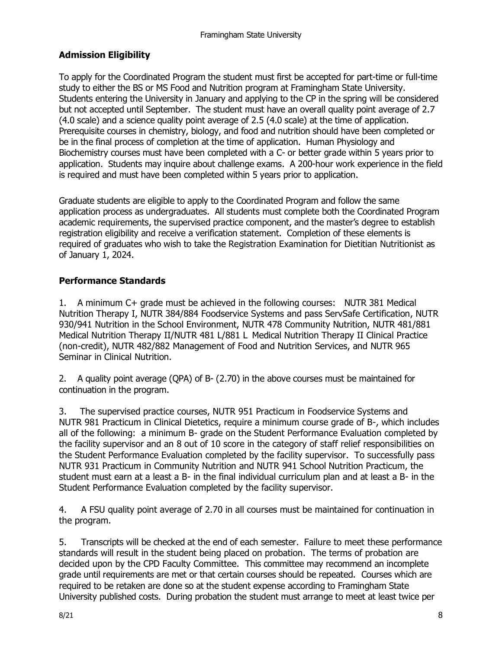# **Admission Eligibility**

To apply for the Coordinated Program the student must first be accepted for part-time or full-time study to either the BS or MS Food and Nutrition program at Framingham State University. Students entering the University in January and applying to the CP in the spring will be considered but not accepted until September. The student must have an overall quality point average of 2.7 (4.0 scale) and a science quality point average of 2.5 (4.0 scale) at the time of application. Prerequisite courses in chemistry, biology, and food and nutrition should have been completed or be in the final process of completion at the time of application. Human Physiology and Biochemistry courses must have been completed with a C- or better grade within 5 years prior to application. Students may inquire about challenge exams. A 200-hour work experience in the field is required and must have been completed within 5 years prior to application.

Graduate students are eligible to apply to the Coordinated Program and follow the same application process as undergraduates. All students must complete both the Coordinated Program academic requirements, the supervised practice component, and the master's degree to establish registration eligibility and receive a verification statement. Completion of these elements is required of graduates who wish to take the Registration Examination for Dietitian Nutritionist as of January 1, 2024.

# **Performance Standards**

1. A minimum C+ grade must be achieved in the following courses: NUTR 381 Medical Nutrition Therapy I, NUTR 384/884 Foodservice Systems and pass ServSafe Certification, NUTR 930/941 Nutrition in the School Environment, NUTR 478 Community Nutrition, NUTR 481/881 Medical Nutrition Therapy II/NUTR 481 L/881 L Medical Nutrition Therapy II Clinical Practice (non-credit), NUTR 482/882 Management of Food and Nutrition Services, and NUTR 965 Seminar in Clinical Nutrition.

2. A quality point average (QPA) of B- (2.70) in the above courses must be maintained for continuation in the program.

3. The supervised practice courses, NUTR 951 Practicum in Foodservice Systems and NUTR 981 Practicum in Clinical Dietetics, require a minimum course grade of B-, which includes all of the following: a minimum B- grade on the Student Performance Evaluation completed by the facility supervisor and an 8 out of 10 score in the category of staff relief responsibilities on the Student Performance Evaluation completed by the facility supervisor. To successfully pass NUTR 931 Practicum in Community Nutrition and NUTR 941 School Nutrition Practicum, the student must earn at a least a B- in the final individual curriculum plan and at least a B- in the Student Performance Evaluation completed by the facility supervisor.

4. A FSU quality point average of 2.70 in all courses must be maintained for continuation in the program.

5. Transcripts will be checked at the end of each semester. Failure to meet these performance standards will result in the student being placed on probation. The terms of probation are decided upon by the CPD Faculty Committee. This committee may recommend an incomplete grade until requirements are met or that certain courses should be repeated. Courses which are required to be retaken are done so at the student expense according to Framingham State University published costs. During probation the student must arrange to meet at least twice per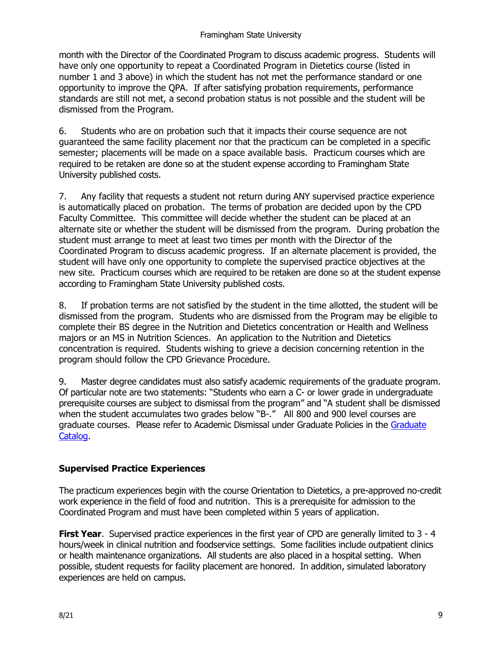month with the Director of the Coordinated Program to discuss academic progress. Students will have only one opportunity to repeat a Coordinated Program in Dietetics course (listed in number 1 and 3 above) in which the student has not met the performance standard or one opportunity to improve the QPA. If after satisfying probation requirements, performance standards are still not met, a second probation status is not possible and the student will be dismissed from the Program.

6. Students who are on probation such that it impacts their course sequence are not guaranteed the same facility placement nor that the practicum can be completed in a specific semester; placements will be made on a space available basis. Practicum courses which are required to be retaken are done so at the student expense according to Framingham State University published costs.

7. Any facility that requests a student not return during ANY supervised practice experience is automatically placed on probation. The terms of probation are decided upon by the CPD Faculty Committee. This committee will decide whether the student can be placed at an alternate site or whether the student will be dismissed from the program. During probation the student must arrange to meet at least two times per month with the Director of the Coordinated Program to discuss academic progress. If an alternate placement is provided, the student will have only one opportunity to complete the supervised practice objectives at the new site. Practicum courses which are required to be retaken are done so at the student expense according to Framingham State University published costs.

8. If probation terms are not satisfied by the student in the time allotted, the student will be dismissed from the program. Students who are dismissed from the Program may be eligible to complete their BS degree in the Nutrition and Dietetics concentration or Health and Wellness majors or an MS in Nutrition Sciences. An application to the Nutrition and Dietetics concentration is required. Students wishing to grieve a decision concerning retention in the program should follow the CPD Grievance Procedure.

9. Master degree candidates must also satisfy academic requirements of the graduate program. Of particular note are two statements: "Students who earn a C- or lower grade in undergraduate prerequisite courses are subject to dismissal from the program" and "A student shall be dismissed when the student accumulates two grades below "B-." All 800 and 900 level courses are graduate courses. Please refer to Academic Dismissal under [Graduate](https://www.framingham.edu/academics/catalogs/index) Policies in the Graduate [Catalog.](https://www.framingham.edu/academics/catalogs/index)

# **Supervised Practice Experiences**

The practicum experiences begin with the course Orientation to Dietetics, a pre-approved no-credit work experience in the field of food and nutrition. This is a prerequisite for admission to the Coordinated Program and must have been completed within 5 years of application.

**First Year.** Supervised practice experiences in the first year of CPD are generally limited to 3 - 4 hours/week in clinical nutrition and foodservice settings. Some facilities include outpatient clinics or health maintenance organizations. All students are also placed in a hospital setting. When possible, student requests for facility placement are honored. In addition, simulated laboratory experiences are held on campus.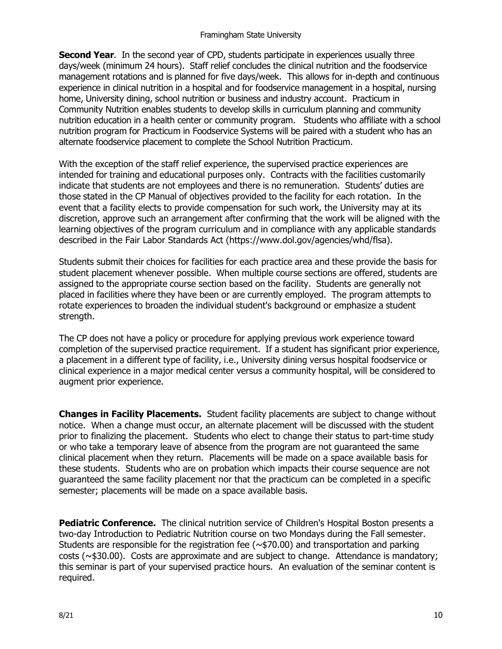**Second Year.** In the second year of CPD, students participate in experiences usually three days/week (minimum 24 hours). Staff relief concludes the clinical nutrition and the foodservice management rotations and is planned for five days/week. This allows for in-depth and continuous experience in clinical nutrition in a hospital and for foodservice management in a hospital, nursing home, University dining, school nutrition or business and industry account. Practicum in Community Nutrition enables students to develop skills in curriculum planning and community nutrition education in a health center or community program. Students who affiliate with a school nutrition program for Practicum in Foodservice Systems will be paired with a student who has an alternate foodservice placement to complete the School Nutrition Practicum.

With the exception of the staff relief experience, the supervised practice experiences are intended for training and educational purposes only. Contracts with the facilities customarily indicate that students are not employees and there is no remuneration. Students' duties are those stated in the CP Manual of objectives provided to the facility for each rotation. In the event that a facility elects to provide compensation for such work, the University may at its discretion, approve such an arrangement after confirming that the work will be aligned with the learning objectives of the program curriculum and in compliance with any applicable standards described in the Fair Labor Standards Act (https://www.dol.gov/agencies/whd/flsa).

Students submit their choices for facilities for each practice area and these provide the basis for student placement whenever possible. When multiple course sections are offered, students are assigned to the appropriate course section based on the facility. Students are generally not placed in facilities where they have been or are currently employed. The program attempts to rotate experiences to broaden the individual student's background or emphasize a student strength.

The CP does not have a policy or procedure for applying previous work experience toward completion of the supervised practice requirement. If a student has significant prior experience, a placement in a different type of facility, i.e., University dining versus hospital foodservice or clinical experience in a major medical center versus a community hospital, will be considered to augment prior experience.

**Changes in Facility Placements.** Student facility placements are subject to change without notice. When a change must occur, an alternate placement will be discussed with the student prior to finalizing the placement. Students who elect to change their status to part-time study or who take a temporary leave of absence from the program are not guaranteed the same clinical placement when they return. Placements will be made on a space available basis for these students. Students who are on probation which impacts their course sequence are not guaranteed the same facility placement nor that the practicum can be completed in a specific semester; placements will be made on a space available basis.

**Pediatric Conference.** The clinical nutrition service of Children's Hospital Boston presents a two-day Introduction to Pediatric Nutrition course on two Mondays during the Fall semester. Students are responsible for the registration fee ( $\sim$ \$70.00) and transportation and parking  $costs$  ( $\sim$ \$30.00). Costs are approximate and are subject to change. Attendance is mandatory; this seminar is part of your supervised practice hours. An evaluation of the seminar content is required.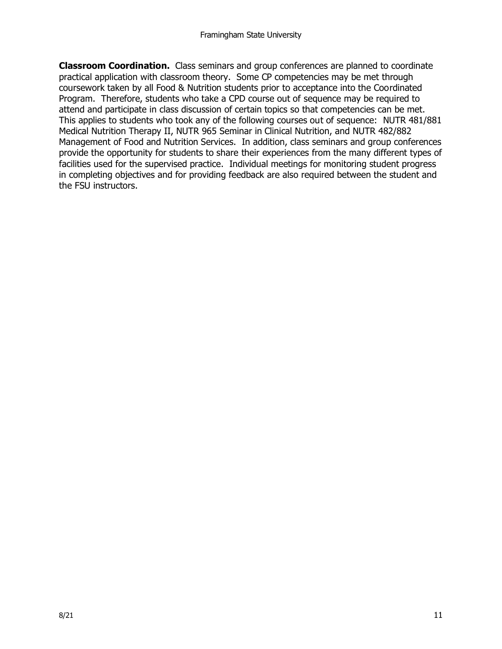**Classroom Coordination.** Class seminars and group conferences are planned to coordinate practical application with classroom theory. Some CP competencies may be met through coursework taken by all Food & Nutrition students prior to acceptance into the Coordinated Program. Therefore, students who take a CPD course out of sequence may be required to attend and participate in class discussion of certain topics so that competencies can be met. This applies to students who took any of the following courses out of sequence: NUTR 481/881 Medical Nutrition Therapy II, NUTR 965 Seminar in Clinical Nutrition, and NUTR 482/882 Management of Food and Nutrition Services. In addition, class seminars and group conferences provide the opportunity for students to share their experiences from the many different types of facilities used for the supervised practice. Individual meetings for monitoring student progress in completing objectives and for providing feedback are also required between the student and the FSU instructors.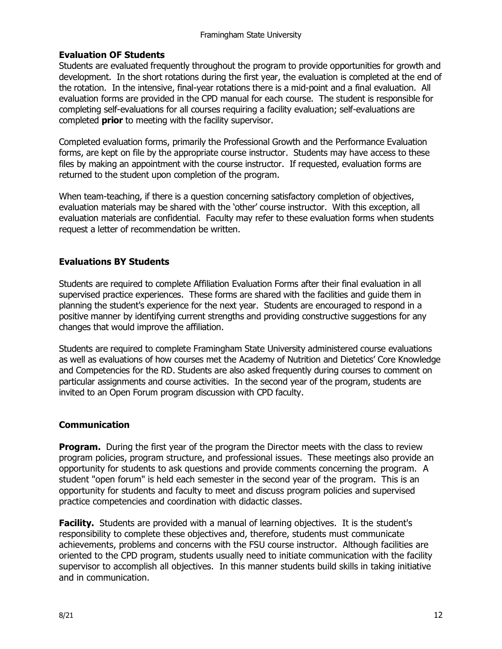### **Evaluation OF Students**

Students are evaluated frequently throughout the program to provide opportunities for growth and development. In the short rotations during the first year, the evaluation is completed at the end of the rotation. In the intensive, final-year rotations there is a mid-point and a final evaluation. All evaluation forms are provided in the CPD manual for each course. The student is responsible for completing self-evaluations for all courses requiring a facility evaluation; self-evaluations are completed **prior** to meeting with the facility supervisor.

Completed evaluation forms, primarily the Professional Growth and the Performance Evaluation forms, are kept on file by the appropriate course instructor. Students may have access to these files by making an appointment with the course instructor. If requested, evaluation forms are returned to the student upon completion of the program.

When team-teaching, if there is a question concerning satisfactory completion of objectives, evaluation materials may be shared with the 'other' course instructor. With this exception, all evaluation materials are confidential. Faculty may refer to these evaluation forms when students request a letter of recommendation be written.

# **Evaluations BY Students**

Students are required to complete Affiliation Evaluation Forms after their final evaluation in all supervised practice experiences. These forms are shared with the facilities and guide them in planning the student's experience for the next year. Students are encouraged to respond in a positive manner by identifying current strengths and providing constructive suggestions for any changes that would improve the affiliation.

Students are required to complete Framingham State University administered course evaluations as well as evaluations of how courses met the Academy of Nutrition and Dietetics' Core Knowledge and Competencies for the RD. Students are also asked frequently during courses to comment on particular assignments and course activities. In the second year of the program, students are invited to an Open Forum program discussion with CPD faculty.

### **Communication**

**Program.** During the first year of the program the Director meets with the class to review program policies, program structure, and professional issues. These meetings also provide an opportunity for students to ask questions and provide comments concerning the program. A student "open forum" is held each semester in the second year of the program. This is an opportunity for students and faculty to meet and discuss program policies and supervised practice competencies and coordination with didactic classes.

**Facility.** Students are provided with a manual of learning objectives. It is the student's responsibility to complete these objectives and, therefore, students must communicate achievements, problems and concerns with the FSU course instructor. Although facilities are oriented to the CPD program, students usually need to initiate communication with the facility supervisor to accomplish all objectives. In this manner students build skills in taking initiative and in communication.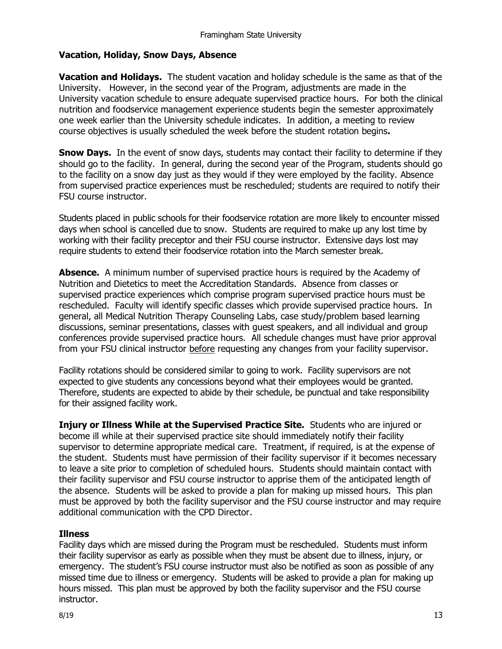## **Vacation, Holiday, Snow Days, Absence**

**Vacation and Holidays.** The student vacation and holiday schedule is the same as that of the University. However, in the second year of the Program, adjustments are made in the University vacation schedule to ensure adequate supervised practice hours. For both the clinical nutrition and foodservice management experience students begin the semester approximately one week earlier than the University schedule indicates. In addition, a meeting to review course objectives is usually scheduled the week before the student rotation begins**.** 

**Snow Days.** In the event of snow days, students may contact their facility to determine if they should go to the facility. In general, during the second year of the Program, students should go to the facility on a snow day just as they would if they were employed by the facility. Absence from supervised practice experiences must be rescheduled; students are required to notify their FSU course instructor.

Students placed in public schools for their foodservice rotation are more likely to encounter missed days when school is cancelled due to snow. Students are required to make up any lost time by working with their facility preceptor and their FSU course instructor. Extensive days lost may require students to extend their foodservice rotation into the March semester break.

**Absence.** A minimum number of supervised practice hours is required by the Academy of Nutrition and Dietetics to meet the Accreditation Standards. Absence from classes or supervised practice experiences which comprise program supervised practice hours must be rescheduled. Faculty will identify specific classes which provide supervised practice hours. In general, all Medical Nutrition Therapy Counseling Labs, case study/problem based learning discussions, seminar presentations, classes with guest speakers, and all individual and group conferences provide supervised practice hours. All schedule changes must have prior approval from your FSU clinical instructor before requesting any changes from your facility supervisor.

Facility rotations should be considered similar to going to work. Facility supervisors are not expected to give students any concessions beyond what their employees would be granted. Therefore, students are expected to abide by their schedule, be punctual and take responsibility for their assigned facility work.

**Injury or Illness While at the Supervised Practice Site.** Students who are injured or become ill while at their supervised practice site should immediately notify their facility supervisor to determine appropriate medical care. Treatment, if required, is at the expense of the student. Students must have permission of their facility supervisor if it becomes necessary to leave a site prior to completion of scheduled hours. Students should maintain contact with their facility supervisor and FSU course instructor to apprise them of the anticipated length of the absence. Students will be asked to provide a plan for making up missed hours. This plan must be approved by both the facility supervisor and the FSU course instructor and may require additional communication with the CPD Director.

### **Illness**

Facility days which are missed during the Program must be rescheduled. Students must inform their facility supervisor as early as possible when they must be absent due to illness, injury, or emergency. The student's FSU course instructor must also be notified as soon as possible of any missed time due to illness or emergency. Students will be asked to provide a plan for making up hours missed. This plan must be approved by both the facility supervisor and the FSU course instructor.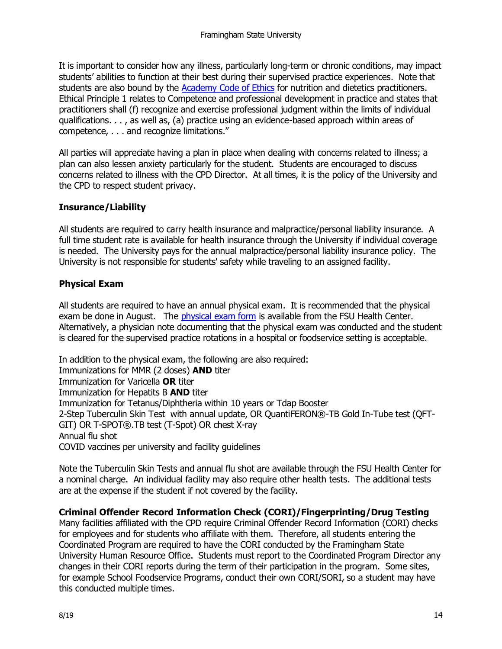It is important to consider how any illness, particularly long-term or chronic conditions, may impact students' abilities to function at their best during their supervised practice experiences. Note that students are also bound by the [Academy Code of Ethics](https://www.eatrightpro.org/-/media/eatrightpro-files/career/code-of-ethics/coeforthenutritionanddieteticsprofession.pdf?la=en&hash=0C9D1622C51782F12A0D6004A28CDAC0CE99A032) for nutrition and dietetics practitioners. Ethical Principle 1 relates to Competence and professional development in practice and states that practitioners shall (f) recognize and exercise professional judgment within the limits of individual qualifications. . . , as well as, (a) practice using an evidence-based approach within areas of competence, . . . and recognize limitations."

All parties will appreciate having a plan in place when dealing with concerns related to illness; a plan can also lessen anxiety particularly for the student. Students are encouraged to discuss concerns related to illness with the CPD Director. At all times, it is the policy of the University and the CPD to respect student privacy.

# **Insurance/Liability**

All students are required to carry health insurance and malpractice/personal liability insurance. A full time student rate is available for health insurance through the University if individual coverage is needed. The University pays for the annual malpractice/personal liability insurance policy. The University is not responsible for students' safety while traveling to an assigned facility.

# **Physical Exam**

All students are required to have an annual physical exam. It is recommended that the physical exam be done in August. The [physical exam form](https://www.framingham.edu/Assets/uploads/student-life/health-center/_documents/admissionhealthform.pdf) is available from the FSU Health Center. Alternatively, a physician note documenting that the physical exam was conducted and the student is cleared for the supervised practice rotations in a hospital or foodservice setting is acceptable.

In addition to the physical exam, the following are also required: Immunizations for MMR (2 doses) **AND** titer Immunization for Varicella **OR** titer Immunization for Hepatits B **AND** titer Immunization for Tetanus/Diphtheria within 10 years or Tdap Booster 2-Step Tuberculin Skin Test with annual update, OR QuantiFERON®-TB Gold In-Tube test (QFT-GIT) OR T-SPOT®.TB test (T-Spot) OR chest X-ray Annual flu shot COVID vaccines per university and facility guidelines

Note the Tuberculin Skin Tests and annual flu shot are available through the FSU Health Center for a nominal charge. An individual facility may also require other health tests. The additional tests are at the expense if the student if not covered by the facility.

# **Criminal Offender Record Information Check (CORI)/Fingerprinting/Drug Testing**

Many facilities affiliated with the CPD require Criminal Offender Record Information (CORI) checks for employees and for students who affiliate with them. Therefore, all students entering the Coordinated Program are required to have the CORI conducted by the Framingham State University Human Resource Office. Students must report to the Coordinated Program Director any changes in their CORI reports during the term of their participation in the program. Some sites, for example School Foodservice Programs, conduct their own CORI/SORI, so a student may have this conducted multiple times.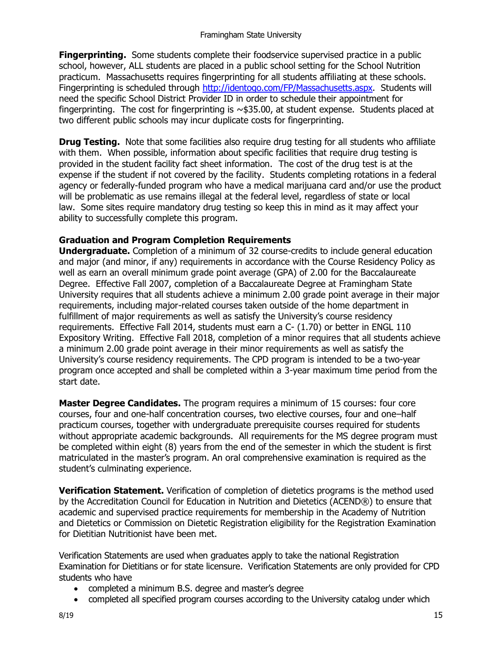**Fingerprinting.** Some students complete their foodservice supervised practice in a public school, however, ALL students are placed in a public school setting for the School Nutrition practicum. Massachusetts requires fingerprinting for all students affiliating at these schools. Fingerprinting is scheduled through [http://identogo.com/FP/Massachusetts.aspx.](http://identogo.com/FP/Massachusetts.aspx) Students will need the specific School District Provider ID in order to schedule their appointment for fingerprinting. The cost for fingerprinting is  $\sim$  \$35.00, at student expense. Students placed at two different public schools may incur duplicate costs for fingerprinting.

**Drug Testing.** Note that some facilities also require drug testing for all students who affiliate with them. When possible, information about specific facilities that require drug testing is provided in the student facility fact sheet information. The cost of the drug test is at the expense if the student if not covered by the facility. Students completing rotations in a federal agency or federally-funded program who have a medical marijuana card and/or use the product will be problematic as use remains illegal at the federal level, regardless of state or local law. Some sites require mandatory drug testing so keep this in mind as it may affect your ability to successfully complete this program.

# **Graduation and Program Completion Requirements**

**Undergraduate.** Completion of a minimum of 32 course-credits to include general education and major (and minor, if any) requirements in accordance with the Course Residency Policy as well as earn an overall minimum grade point average (GPA) of 2.00 for the Baccalaureate Degree. Effective Fall 2007, completion of a Baccalaureate Degree at Framingham State University requires that all students achieve a minimum 2.00 grade point average in their major requirements, including major-related courses taken outside of the home department in fulfillment of major requirements as well as satisfy the University's course residency requirements. Effective Fall 2014, students must earn a C- (1.70) or better in ENGL 110 Expository Writing. Effective Fall 2018, completion of a minor requires that all students achieve a minimum 2.00 grade point average in their minor requirements as well as satisfy the University's course residency requirements. The CPD program is intended to be a two-year program once accepted and shall be completed within a 3-year maximum time period from the start date.

**Master Degree Candidates.** The program requires a minimum of 15 courses: four core courses, four and one-half concentration courses, two elective courses, four and one–half practicum courses, together with undergraduate prerequisite courses required for students without appropriate academic backgrounds. All requirements for the MS degree program must be completed within eight (8) years from the end of the semester in which the student is first matriculated in the master's program. An oral comprehensive examination is required as the student's culminating experience.

**Verification Statement.** Verification of completion of dietetics programs is the method used by the Accreditation Council for Education in Nutrition and Dietetics (ACEND®) to ensure that academic and supervised practice requirements for membership in the Academy of Nutrition and Dietetics or Commission on Dietetic Registration eligibility for the Registration Examination for Dietitian Nutritionist have been met.

Verification Statements are used when graduates apply to take the national Registration Examination for Dietitians or for state licensure. Verification Statements are only provided for CPD students who have

- completed a minimum B.S. degree and master's degree
- completed all specified program courses according to the University catalog under which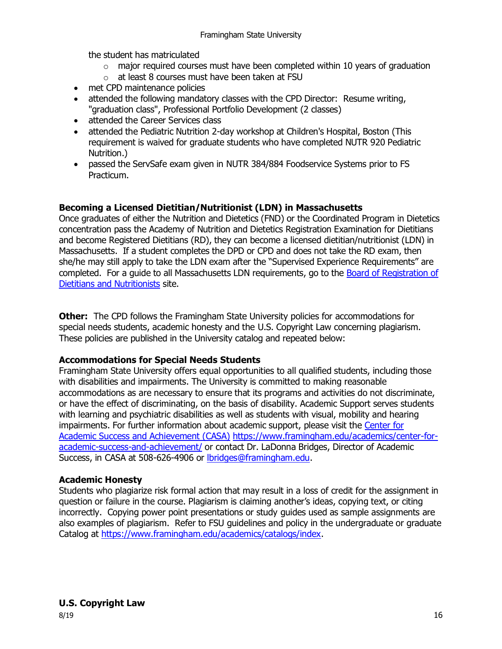the student has matriculated

- $\circ$  major required courses must have been completed within 10 years of graduation
- o at least 8 courses must have been taken at FSU
- met CPD maintenance policies
- attended the following mandatory classes with the CPD Director: Resume writing, "graduation class", Professional Portfolio Development (2 classes)
- attended the Career Services class
- attended the Pediatric Nutrition 2-day workshop at Children's Hospital, Boston (This requirement is waived for graduate students who have completed NUTR 920 Pediatric Nutrition.)
- passed the ServSafe exam given in NUTR 384/884 Foodservice Systems prior to FS Practicum.

### **Becoming a Licensed Dietitian/Nutritionist (LDN) in Massachusetts**

Once graduates of either the Nutrition and Dietetics (FND) or the Coordinated Program in Dietetics concentration pass the Academy of Nutrition and Dietetics Registration Examination for Dietitians and become Registered Dietitians (RD), they can become a licensed dietitian/nutritionist (LDN) in Massachusetts. If a student completes the DPD or CPD and does not take the RD exam, then she/he may still apply to take the LDN exam after the "Supervised Experience Requirements" are completed. For a guide to all Massachusetts LDN requirements, go to the [Board of Registration of](https://www.healthcarepathway.com/become-a-dietitian/massachusetts-dietitian.html#education)  [Dietitians and Nutritionists](https://www.healthcarepathway.com/become-a-dietitian/massachusetts-dietitian.html#education) site.

**Other:** The CPD follows the Framingham State University policies for accommodations for special needs students, academic honesty and the U.S. Copyright Law concerning plagiarism. These policies are published in the University catalog and repeated below:

### **Accommodations for Special Needs Students**

Framingham State University offers equal opportunities to all qualified students, including those with disabilities and impairments. The University is committed to making reasonable accommodations as are necessary to ensure that its programs and activities do not discriminate, or have the effect of discriminating, on the basis of disability. Academic Support serves students with learning and psychiatric disabilities as well as students with visual, mobility and hearing impairments. For further information about academic support, please visit the [Center for](https://www.framingham.edu/academics/center-for-academic-success-and-achievement/)  [Academic Success and Achievement \(CASA\)](https://www.framingham.edu/academics/center-for-academic-success-and-achievement/) [https://www.framingham.edu/academics/center-for](https://www.framingham.edu/academics/center-for-academic-success-and-achievement/)[academic-success-and-achievement/](https://www.framingham.edu/academics/center-for-academic-success-and-achievement/) or contact Dr. LaDonna Bridges, Director of Academic Success, in CASA at 508-626-4906 or [lbridges@framingham.edu.](mailto:lbridges@framingham.edu)

### **Academic Honesty**

Students who plagiarize risk formal action that may result in a loss of credit for the assignment in question or failure in the course. Plagiarism is claiming another's ideas, copying text, or citing incorrectly. Copying power point presentations or study guides used as sample assignments are also examples of plagiarism. Refer to FSU guidelines and policy in the undergraduate or graduate Catalog at [https://www.framingham.edu/academics/catalogs/index.](https://www.framingham.edu/academics/catalogs/index)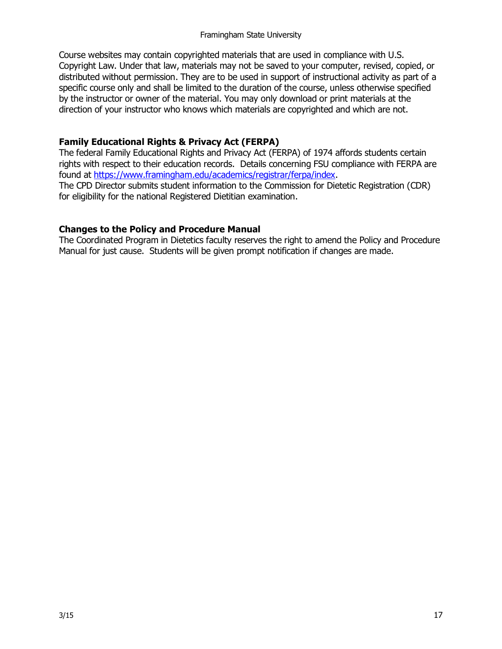Course websites may contain copyrighted materials that are used in compliance with U.S. Copyright Law. Under that law, materials may not be saved to your computer, revised, copied, or distributed without permission. They are to be used in support of instructional activity as part of a specific course only and shall be limited to the duration of the course, unless otherwise specified by the instructor or owner of the material. You may only download or print materials at the direction of your instructor who knows which materials are copyrighted and which are not.

# **Family Educational Rights & Privacy Act (FERPA)**

The federal Family Educational Rights and Privacy Act (FERPA) of 1974 affords students certain rights with respect to their education records. Details concerning FSU compliance with FERPA are found at [https://www.framingham.edu/academics/registrar/ferpa/index.](https://www.framingham.edu/academics/registrar/ferpa/index) The CPD Director submits student information to the Commission for Dietetic Registration (CDR) for eligibility for the national Registered Dietitian examination.

### **Changes to the Policy and Procedure Manual**

The Coordinated Program in Dietetics faculty reserves the right to amend the Policy and Procedure Manual for just cause. Students will be given prompt notification if changes are made.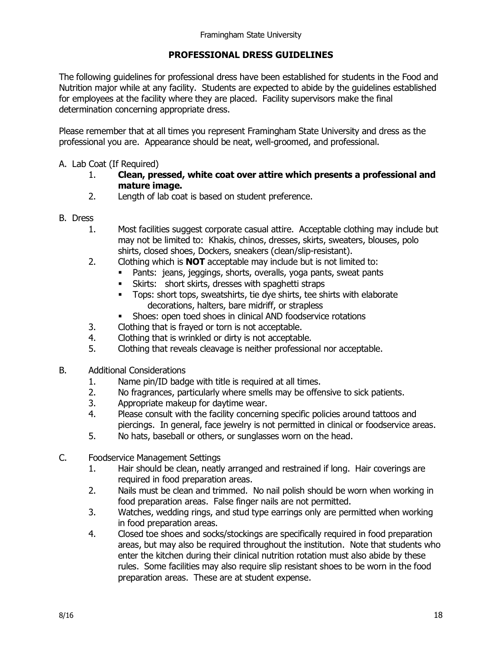# **PROFESSIONAL DRESS GUIDELINES**

The following guidelines for professional dress have been established for students in the Food and Nutrition major while at any facility. Students are expected to abide by the guidelines established for employees at the facility where they are placed. Facility supervisors make the final determination concerning appropriate dress.

Please remember that at all times you represent Framingham State University and dress as the professional you are. Appearance should be neat, well-groomed, and professional.

### A. Lab Coat (If Required)

- 1. **Clean, pressed, white coat over attire which presents a professional and mature image.**
- 2. Length of lab coat is based on student preference.

### B. Dress

- 1. Most facilities suggest corporate casual attire. Acceptable clothing may include but may not be limited to: Khakis, chinos, dresses, skirts, sweaters, blouses, polo shirts, closed shoes, Dockers, sneakers (clean/slip-resistant).
- 2. Clothing which is **NOT** acceptable may include but is not limited to:
	- Pants: jeans, jeggings, shorts, overalls, yoga pants, sweat pants
	- Skirts: short skirts, dresses with spaghetti straps
	- Tops: short tops, sweatshirts, tie dye shirts, tee shirts with elaborate decorations, halters, bare midriff, or strapless
	- Shoes: open toed shoes in clinical AND foodservice rotations
- 3. Clothing that is frayed or torn is not acceptable.
- 4. Clothing that is wrinkled or dirty is not acceptable.
- 5. Clothing that reveals cleavage is neither professional nor acceptable.
- B. Additional Considerations
	- 1. Name pin/ID badge with title is required at all times.
	- 2. No fragrances, particularly where smells may be offensive to sick patients.
	- 3. Appropriate makeup for daytime wear.
	- 4. Please consult with the facility concerning specific policies around tattoos and piercings. In general, face jewelry is not permitted in clinical or foodservice areas.
	- 5. No hats, baseball or others, or sunglasses worn on the head.
- C. Foodservice Management Settings
	- 1. Hair should be clean, neatly arranged and restrained if long. Hair coverings are required in food preparation areas.
	- 2. Nails must be clean and trimmed. No nail polish should be worn when working in food preparation areas. False finger nails are not permitted.
	- 3. Watches, wedding rings, and stud type earrings only are permitted when working in food preparation areas.
	- 4. Closed toe shoes and socks/stockings are specifically required in food preparation areas, but may also be required throughout the institution. Note that students who enter the kitchen during their clinical nutrition rotation must also abide by these rules. Some facilities may also require slip resistant shoes to be worn in the food preparation areas. These are at student expense.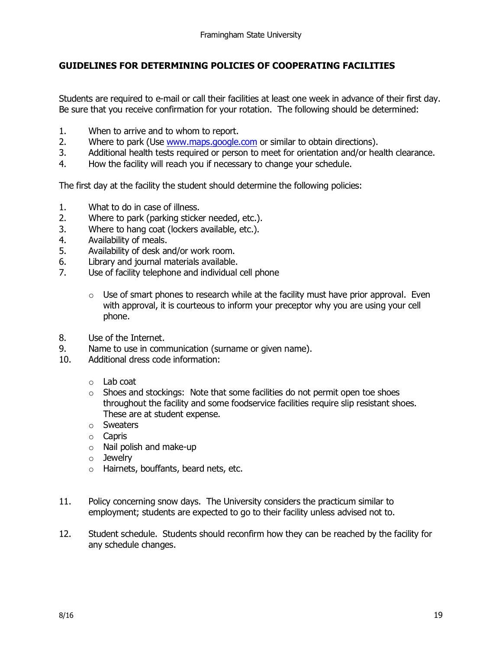# **GUIDELINES FOR DETERMINING POLICIES OF COOPERATING FACILITIES**

Students are required to e-mail or call their facilities at least one week in advance of their first day. Be sure that you receive confirmation for your rotation. The following should be determined:

- 1. When to arrive and to whom to report.
- 2. Where to park (Use [www.maps.google.com](http://www.maps.google.com/) or similar to obtain directions).
- 3. Additional health tests required or person to meet for orientation and/or health clearance.
- 4. How the facility will reach you if necessary to change your schedule.

The first day at the facility the student should determine the following policies:

- 1. What to do in case of illness.
- 2. Where to park (parking sticker needed, etc.).
- 3. Where to hang coat (lockers available, etc.).
- 4. Availability of meals.
- 5. Availability of desk and/or work room.
- 6. Library and journal materials available.
- 7. Use of facility telephone and individual cell phone
	- $\circ$  Use of smart phones to research while at the facility must have prior approval. Even with approval, it is courteous to inform your preceptor why you are using your cell phone.
- 8. Use of the Internet.
- 9. Name to use in communication (surname or given name).
- 10. Additional dress code information:
	- o Lab coat
	- $\circ$  Shoes and stockings: Note that some facilities do not permit open toe shoes throughout the facility and some foodservice facilities require slip resistant shoes. These are at student expense.
	- o Sweaters
	- o Capris
	- o Nail polish and make-up
	- o Jewelry
	- o Hairnets, bouffants, beard nets, etc.
- 11. Policy concerning snow days. The University considers the practicum similar to employment; students are expected to go to their facility unless advised not to.
- 12. Student schedule. Students should reconfirm how they can be reached by the facility for any schedule changes.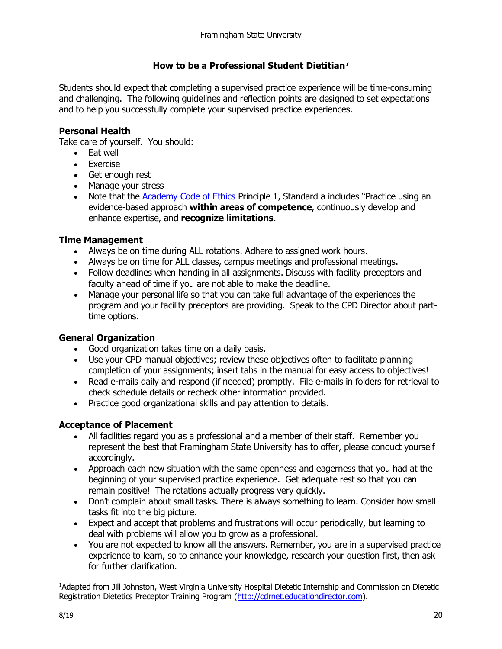# **How to be a Professional Student Dietitian<sup>1</sup>**

Students should expect that completing a supervised practice experience will be time-consuming and challenging. The following guidelines and reflection points are designed to set expectations and to help you successfully complete your supervised practice experiences.

### **Personal Health**

Take care of yourself. You should:

- Eat well
- Exercise
- Get enough rest
- Manage your stress
- Note that the Academy [Code of Ethics](https://www.eatrightpro.org/-/media/eatrightpro-files/career/code-of-ethics/coeforthenutritionanddieteticsprofession.pdf?la=en&hash=0C9D1622C51782F12A0D6004A28CDAC0CE99A032) Principle 1, Standard a includes "Practice using an evidence-based approach **within areas of competence**, continuously develop and enhance expertise, and **recognize limitations**.

### **Time Management**

- Always be on time during ALL rotations. Adhere to assigned work hours.
- Always be on time for ALL classes, campus meetings and professional meetings.
- Follow deadlines when handing in all assignments. Discuss with facility preceptors and faculty ahead of time if you are not able to make the deadline.
- Manage your personal life so that you can take full advantage of the experiences the program and your facility preceptors are providing. Speak to the CPD Director about parttime options.

### **General Organization**

- Good organization takes time on a daily basis.
- Use your CPD manual objectives; review these objectives often to facilitate planning completion of your assignments; insert tabs in the manual for easy access to objectives!
- Read e-mails daily and respond (if needed) promptly. File e-mails in folders for retrieval to check schedule details or recheck other information provided.
- Practice good organizational skills and pay attention to details.

### **Acceptance of Placement**

- All facilities regard you as a professional and a member of their staff. Remember you represent the best that Framingham State University has to offer, please conduct yourself accordingly.
- Approach each new situation with the same openness and eagerness that you had at the beginning of your supervised practice experience. Get adequate rest so that you can remain positive! The rotations actually progress very quickly.
- Don't complain about small tasks. There is always something to learn. Consider how small tasks fit into the big picture.
- Expect and accept that problems and frustrations will occur periodically, but learning to deal with problems will allow you to grow as a professional.
- You are not expected to know all the answers. Remember, you are in a supervised practice experience to learn, so to enhance your knowledge, research your question first, then ask for further clarification.

<sup>1</sup>Adapted from Jill Johnston, West Virginia University Hospital Dietetic Internship and Commission on Dietetic Registration Dietetics Preceptor Training Program [\(http://cdrnet.educationdirector.com\)](http://cdrnet.educationdirector.com/).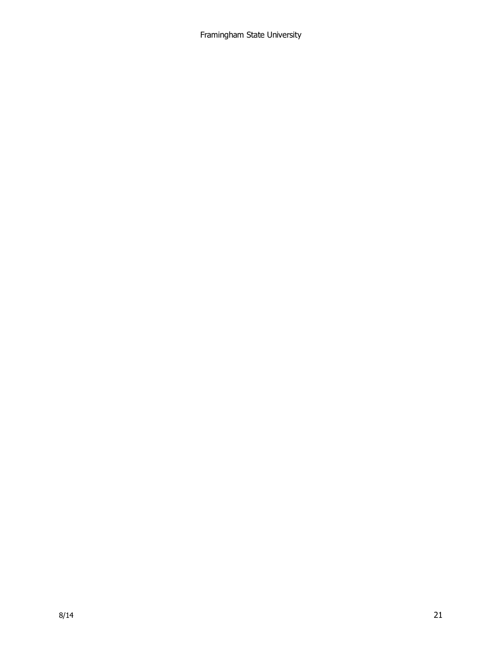Framingham State University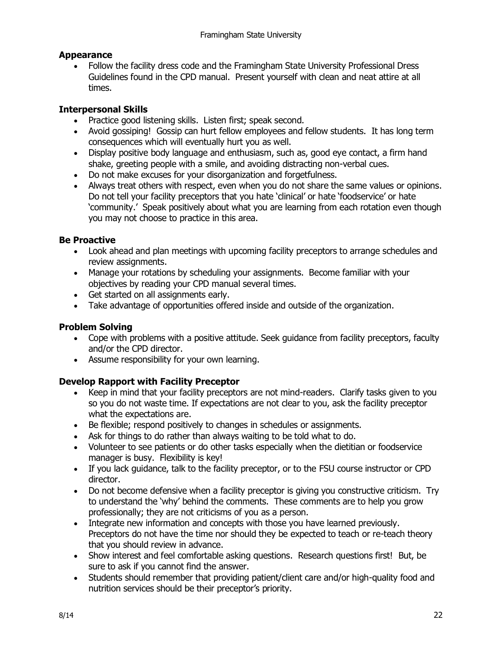## **Appearance**

• Follow the facility dress code and the Framingham State University Professional Dress Guidelines found in the CPD manual. Present yourself with clean and neat attire at all times.

# **Interpersonal Skills**

- Practice good listening skills. Listen first; speak second.
- Avoid gossiping! Gossip can hurt fellow employees and fellow students. It has long term consequences which will eventually hurt you as well.
- Display positive body language and enthusiasm, such as, good eye contact, a firm hand shake, greeting people with a smile, and avoiding distracting non-verbal cues.
- Do not make excuses for your disorganization and forgetfulness.
- Always treat others with respect, even when you do not share the same values or opinions. Do not tell your facility preceptors that you hate 'clinical' or hate 'foodservice' or hate 'community.' Speak positively about what you are learning from each rotation even though you may not choose to practice in this area.

# **Be Proactive**

- Look ahead and plan meetings with upcoming facility preceptors to arrange schedules and review assignments.
- Manage your rotations by scheduling your assignments. Become familiar with your objectives by reading your CPD manual several times.
- Get started on all assignments early.
- Take advantage of opportunities offered inside and outside of the organization.

# **Problem Solving**

- Cope with problems with a positive attitude. Seek guidance from facility preceptors, faculty and/or the CPD director.
- Assume responsibility for your own learning.

# **Develop Rapport with Facility Preceptor**

- Keep in mind that your facility preceptors are not mind-readers. Clarify tasks given to you so you do not waste time. If expectations are not clear to you, ask the facility preceptor what the expectations are.
- Be flexible; respond positively to changes in schedules or assignments.
- Ask for things to do rather than always waiting to be told what to do.
- Volunteer to see patients or do other tasks especially when the dietitian or foodservice manager is busy. Flexibility is key!
- If you lack guidance, talk to the facility preceptor, or to the FSU course instructor or CPD director.
- Do not become defensive when a facility preceptor is giving you constructive criticism. Try to understand the 'why' behind the comments. These comments are to help you grow professionally; they are not criticisms of you as a person.
- Integrate new information and concepts with those you have learned previously. Preceptors do not have the time nor should they be expected to teach or re-teach theory that you should review in advance.
- Show interest and feel comfortable asking questions. Research questions first! But, be sure to ask if you cannot find the answer.
- Students should remember that providing patient/client care and/or high-quality food and nutrition services should be their preceptor's priority.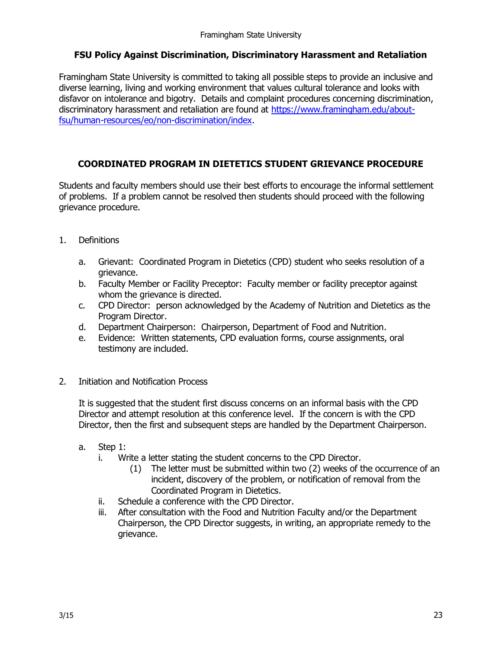## **FSU Policy Against Discrimination, Discriminatory Harassment and Retaliation**

Framingham State University is committed to taking all possible steps to provide an inclusive and diverse learning, living and working environment that values cultural tolerance and looks with disfavor on intolerance and bigotry. Details and complaint procedures concerning discrimination, discriminatory harassment and retaliation are found at [https://www.framingham.edu/about](https://www.framingham.edu/about-fsu/human-resources/eo/non-discrimination/index)[fsu/human-resources/eo/non-discrimination/index.](https://www.framingham.edu/about-fsu/human-resources/eo/non-discrimination/index)

# **COORDINATED PROGRAM IN DIETETICS STUDENT GRIEVANCE PROCEDURE**

Students and faculty members should use their best efforts to encourage the informal settlement of problems. If a problem cannot be resolved then students should proceed with the following grievance procedure.

- 1. Definitions
	- a. Grievant: Coordinated Program in Dietetics (CPD) student who seeks resolution of a grievance.
	- b. Faculty Member or Facility Preceptor: Faculty member or facility preceptor against whom the grievance is directed.
	- c. CPD Director: person acknowledged by the Academy of Nutrition and Dietetics as the Program Director.
	- d. Department Chairperson: Chairperson, Department of Food and Nutrition.
	- e. Evidence: Written statements, CPD evaluation forms, course assignments, oral testimony are included.
- 2. Initiation and Notification Process

It is suggested that the student first discuss concerns on an informal basis with the CPD Director and attempt resolution at this conference level. If the concern is with the CPD Director, then the first and subsequent steps are handled by the Department Chairperson.

- a. Step 1:
	- i. Write a letter stating the student concerns to the CPD Director.
		- (1) The letter must be submitted within two (2) weeks of the occurrence of an incident, discovery of the problem, or notification of removal from the Coordinated Program in Dietetics.
	- ii. Schedule a conference with the CPD Director.
	- iii. After consultation with the Food and Nutrition Faculty and/or the Department Chairperson, the CPD Director suggests, in writing, an appropriate remedy to the grievance.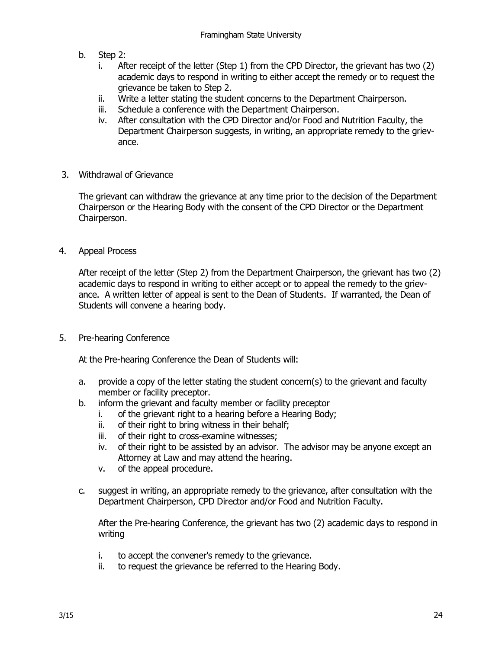- b. Step 2:
	- i. After receipt of the letter (Step 1) from the CPD Director, the grievant has two (2) academic days to respond in writing to either accept the remedy or to request the grievance be taken to Step 2.
	- ii. Write a letter stating the student concerns to the Department Chairperson.
	- iii. Schedule a conference with the Department Chairperson.
	- iv. After consultation with the CPD Director and/or Food and Nutrition Faculty, the Department Chairperson suggests, in writing, an appropriate remedy to the grievance.
- 3. Withdrawal of Grievance

The grievant can withdraw the grievance at any time prior to the decision of the Department Chairperson or the Hearing Body with the consent of the CPD Director or the Department Chairperson.

4. Appeal Process

After receipt of the letter (Step 2) from the Department Chairperson, the grievant has two (2) academic days to respond in writing to either accept or to appeal the remedy to the grievance. A written letter of appeal is sent to the Dean of Students. If warranted, the Dean of Students will convene a hearing body.

5. Pre-hearing Conference

At the Pre-hearing Conference the Dean of Students will:

- a. provide a copy of the letter stating the student concern(s) to the grievant and faculty member or facility preceptor.
- b. inform the grievant and faculty member or facility preceptor
	- i. of the grievant right to a hearing before a Hearing Body;
	- ii. of their right to bring witness in their behalf;
	- iii. of their right to cross-examine witnesses;
	- iv. of their right to be assisted by an advisor. The advisor may be anyone except an Attorney at Law and may attend the hearing.
	- v. of the appeal procedure.
- c. suggest in writing, an appropriate remedy to the grievance, after consultation with the Department Chairperson, CPD Director and/or Food and Nutrition Faculty.

After the Pre-hearing Conference, the grievant has two (2) academic days to respond in writing

- i. to accept the convener's remedy to the grievance.
- ii. to request the grievance be referred to the Hearing Body.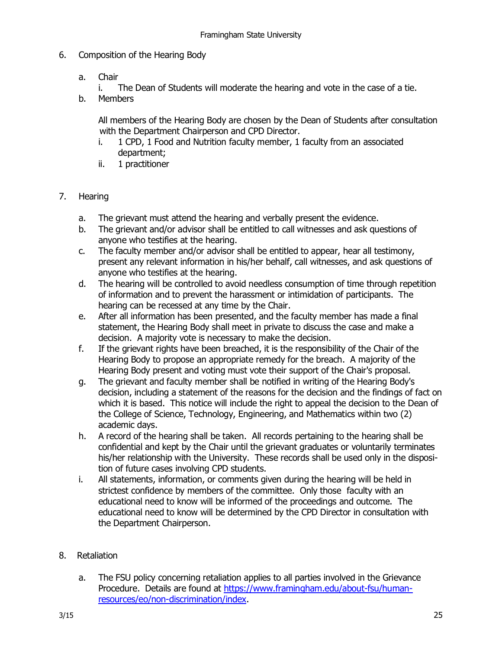# 6. Composition of the Hearing Body

- a. Chair
	- i. The Dean of Students will moderate the hearing and vote in the case of a tie.
- b. Members

All members of the Hearing Body are chosen by the Dean of Students after consultation with the Department Chairperson and CPD Director.

- i. 1 CPD, 1 Food and Nutrition faculty member, 1 faculty from an associated department;
- ii. 1 practitioner
- 7. Hearing
	- a. The grievant must attend the hearing and verbally present the evidence.
	- b. The grievant and/or advisor shall be entitled to call witnesses and ask questions of anyone who testifies at the hearing.
	- c. The faculty member and/or advisor shall be entitled to appear, hear all testimony, present any relevant information in his/her behalf, call witnesses, and ask questions of anyone who testifies at the hearing.
	- d. The hearing will be controlled to avoid needless consumption of time through repetition of information and to prevent the harassment or intimidation of participants. The hearing can be recessed at any time by the Chair.
	- e. After all information has been presented, and the faculty member has made a final statement, the Hearing Body shall meet in private to discuss the case and make a decision. A majority vote is necessary to make the decision.
	- f. If the grievant rights have been breached, it is the responsibility of the Chair of the Hearing Body to propose an appropriate remedy for the breach. A majority of the Hearing Body present and voting must vote their support of the Chair's proposal.
	- g. The grievant and faculty member shall be notified in writing of the Hearing Body's decision, including a statement of the reasons for the decision and the findings of fact on which it is based. This notice will include the right to appeal the decision to the Dean of the College of Science, Technology, Engineering, and Mathematics within two (2) academic days.
	- h. A record of the hearing shall be taken. All records pertaining to the hearing shall be confidential and kept by the Chair until the grievant graduates or voluntarily terminates his/her relationship with the University. These records shall be used only in the disposition of future cases involving CPD students.
	- i. All statements, information, or comments given during the hearing will be held in strictest confidence by members of the committee. Only those faculty with an educational need to know will be informed of the proceedings and outcome. The educational need to know will be determined by the CPD Director in consultation with the Department Chairperson.
- 8. Retaliation
	- a. The FSU policy concerning retaliation applies to all parties involved in the Grievance Procedure. Details are found at [https://www.framingham.edu/about-fsu/human](https://www.framingham.edu/about-fsu/human-resources/eo/non-discrimination/index)[resources/eo/non-discrimination/index.](https://www.framingham.edu/about-fsu/human-resources/eo/non-discrimination/index)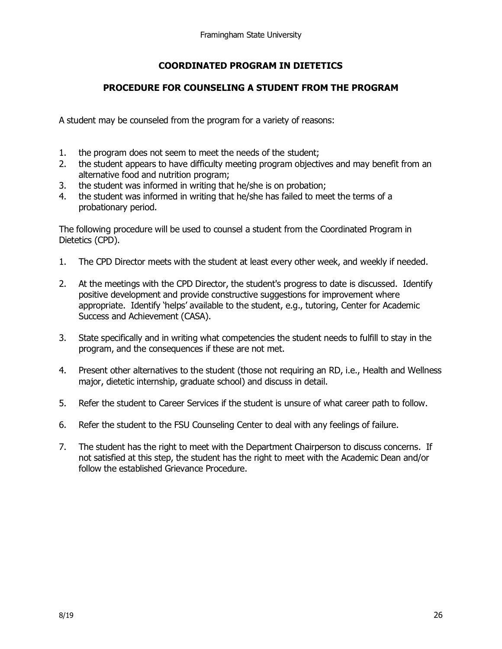# **COORDINATED PROGRAM IN DIETETICS**

# **PROCEDURE FOR COUNSELING A STUDENT FROM THE PROGRAM**

A student may be counseled from the program for a variety of reasons:

- 1. the program does not seem to meet the needs of the student;
- 2. the student appears to have difficulty meeting program objectives and may benefit from an alternative food and nutrition program;
- 3. the student was informed in writing that he/she is on probation;
- 4. the student was informed in writing that he/she has failed to meet the terms of a probationary period.

The following procedure will be used to counsel a student from the Coordinated Program in Dietetics (CPD).

- 1. The CPD Director meets with the student at least every other week, and weekly if needed.
- 2. At the meetings with the CPD Director, the student's progress to date is discussed. Identify positive development and provide constructive suggestions for improvement where appropriate. Identify 'helps' available to the student, e.g., tutoring, Center for Academic Success and Achievement (CASA).
- 3. State specifically and in writing what competencies the student needs to fulfill to stay in the program, and the consequences if these are not met.
- 4. Present other alternatives to the student (those not requiring an RD, i.e., Health and Wellness major, dietetic internship, graduate school) and discuss in detail.
- 5. Refer the student to Career Services if the student is unsure of what career path to follow.
- 6. Refer the student to the FSU Counseling Center to deal with any feelings of failure.
- 7. The student has the right to meet with the Department Chairperson to discuss concerns. If not satisfied at this step, the student has the right to meet with the Academic Dean and/or follow the established Grievance Procedure.